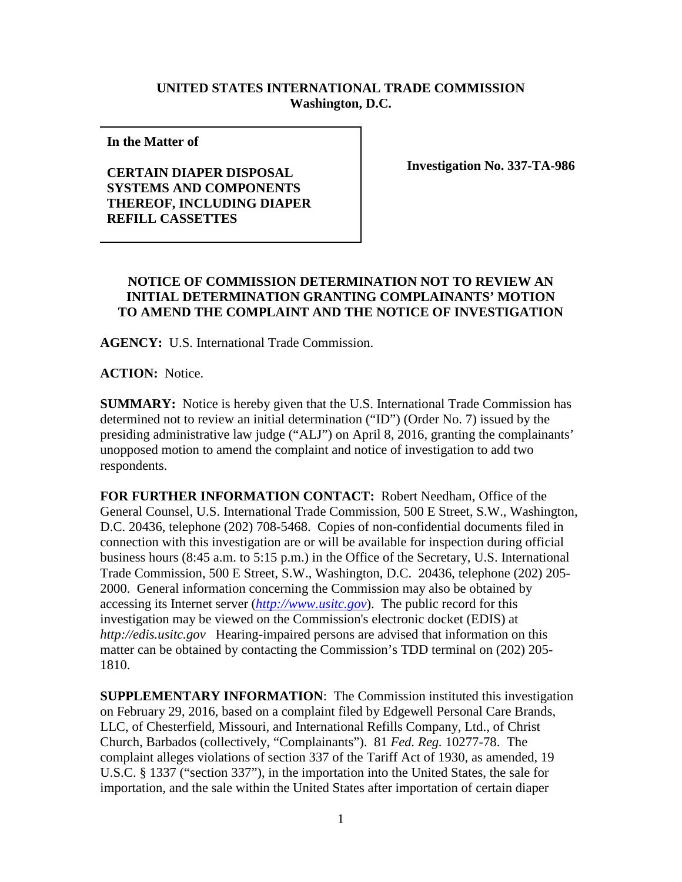## **UNITED STATES INTERNATIONAL TRADE COMMISSION Washington, D.C.**

**In the Matter of** 

## **CERTAIN DIAPER DISPOSAL SYSTEMS AND COMPONENTS THEREOF, INCLUDING DIAPER REFILL CASSETTES**

**Investigation No. 337-TA-986**

## **NOTICE OF COMMISSION DETERMINATION NOT TO REVIEW AN INITIAL DETERMINATION GRANTING COMPLAINANTS' MOTION TO AMEND THE COMPLAINT AND THE NOTICE OF INVESTIGATION**

**AGENCY:** U.S. International Trade Commission.

**ACTION:** Notice.

**SUMMARY:** Notice is hereby given that the U.S. International Trade Commission has determined not to review an initial determination ("ID") (Order No. 7) issued by the presiding administrative law judge ("ALJ") on April 8, 2016, granting the complainants' unopposed motion to amend the complaint and notice of investigation to add two respondents.

**FOR FURTHER INFORMATION CONTACT:** Robert Needham, Office of the General Counsel, U.S. International Trade Commission, 500 E Street, S.W., Washington, D.C. 20436, telephone (202) 708-5468. Copies of non-confidential documents filed in connection with this investigation are or will be available for inspection during official business hours (8:45 a.m. to 5:15 p.m.) in the Office of the Secretary, U.S. International Trade Commission, 500 E Street, S.W., Washington, D.C. 20436, telephone (202) 205- 2000. General information concerning the Commission may also be obtained by accessing its Internet server (*[http://www.usitc.gov](http://www.usitc.gov/)*). The public record for this investigation may be viewed on the Commission's electronic docket (EDIS) at *http://edis.usitc.gov* Hearing-impaired persons are advised that information on this matter can be obtained by contacting the Commission's TDD terminal on (202) 205- 1810.

**SUPPLEMENTARY INFORMATION**: The Commission instituted this investigation on February 29, 2016, based on a complaint filed by Edgewell Personal Care Brands, LLC, of Chesterfield, Missouri, and International Refills Company, Ltd., of Christ Church, Barbados (collectively, "Complainants"). 81 *Fed. Reg.* 10277-78. The complaint alleges violations of section 337 of the Tariff Act of 1930, as amended, 19 U.S.C. § 1337 ("section 337"), in the importation into the United States, the sale for importation, and the sale within the United States after importation of certain diaper